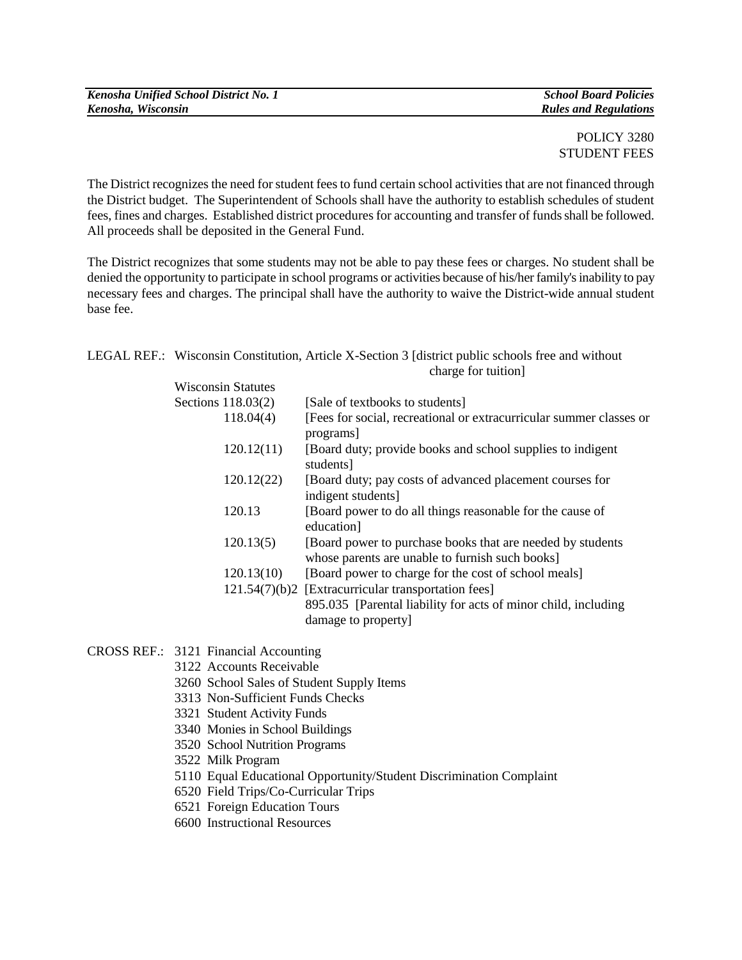## POLICY 3280 STUDENT FEES

The District recognizes the need for student fees to fund certain school activities that are not financed through the District budget. The Superintendent of Schools shall have the authority to establish schedules of student fees, fines and charges. Established district procedures for accounting and transfer of funds shall be followed. All proceeds shall be deposited in the General Fund.

The District recognizes that some students may not be able to pay these fees or charges. No student shall be denied the opportunity to participate in school programs or activities because of his/her family's inability to pay necessary fees and charges. The principal shall have the authority to waive the District-wide annual student base fee.

|  |                           | LEGAL REF.: Wisconsin Constitution, Article X-Section 3 [district public schools free and without<br>charge for tuition] |
|--|---------------------------|--------------------------------------------------------------------------------------------------------------------------|
|  | <b>Wisconsin Statutes</b> |                                                                                                                          |
|  | Sections $118.03(2)$      | [Sale of textbooks to students]                                                                                          |
|  | 118.04(4)                 | [Fees for social, recreational or extracurricular summer classes or<br>programs                                          |
|  | 120.12(11)                | [Board duty; provide books and school supplies to indigent<br>students]                                                  |
|  | 120.12(22)                | [Board duty; pay costs of advanced placement courses for<br>indigent students]                                           |
|  | 120.13                    | [Board power to do all things reasonable for the cause of<br>education]                                                  |
|  | 120.13(5)                 | [Board power to purchase books that are needed by students<br>whose parents are unable to furnish such books]            |
|  | 120.13(10)                | [Board power to charge for the cost of school meals]                                                                     |
|  |                           | 121.54(7)(b)2 [Extracurricular transportation fees]                                                                      |
|  |                           | 895.035 [Parental liability for acts of minor child, including<br>damage to property]                                    |

CROSS REF.: 3121 Financial Accounting

- 3122 Accounts Receivable
- 3260 School Sales of Student Supply Items
- 3313 Non-Sufficient Funds Checks
- 3321 Student Activity Funds
- 3340 Monies in School Buildings
- 3520 School Nutrition Programs
- 3522 Milk Program
- 5110 Equal Educational Opportunity/Student Discrimination Complaint
- 6520 Field Trips/Co-Curricular Trips
- 6521 Foreign Education Tours
- 6600 Instructional Resources